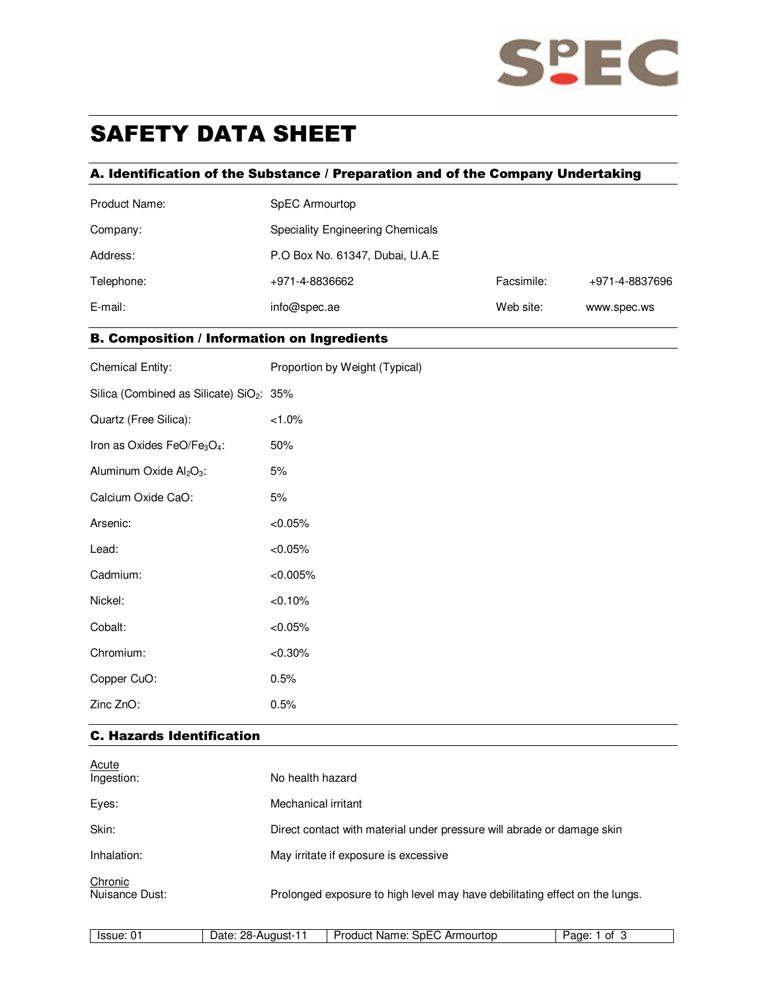

# SAFETY DATA SHEET

## A. Identification of the Substance / Preparation and of the Company Undertaking

| Product Name: | SpEC Armourtop                   |            |                |  |
|---------------|----------------------------------|------------|----------------|--|
| Company:      | Speciality Engineering Chemicals |            |                |  |
| Address:      | P.O Box No. 61347, Dubai, U.A.E  |            |                |  |
| Telephone:    | +971-4-8836662                   | Facsimile: | +971-4-8837696 |  |
| E-mail:       | info@spec.ae                     | Web site:  | www.spec.ws    |  |

## B. Composition / Information on Ingredients

| <b>Chemical Entity:</b>                              | Proportion by Weight (Typical) |
|------------------------------------------------------|--------------------------------|
| Silica (Combined as Silicate) SiO <sub>2</sub> : 35% |                                |
| Quartz (Free Silica):                                | $< 1.0\%$                      |
| Iron as Oxides FeO/Fe3O4:                            | 50%                            |
| Aluminum Oxide Al2O3:                                | 5%                             |
| Calcium Oxide CaO:                                   | 5%                             |
| Arsenic:                                             | $< 0.05\%$                     |
| Lead:                                                | $< 0.05\%$                     |
| Cadmium:                                             | $< 0.005\%$                    |
| Nickel:                                              | <0.10%                         |
| Cobalt:                                              | $< 0.05\%$                     |
| Chromium:                                            | $< 0.30\%$                     |
| Copper CuO:                                          | 0.5%                           |
| Zinc ZnO:                                            | 0.5%                           |

## C. Hazards Identification

| <b>Acute</b><br>Ingestion: | No health hazard                                                            |
|----------------------------|-----------------------------------------------------------------------------|
| Eyes:                      | Mechanical irritant                                                         |
| Skin:                      | Direct contact with material under pressure will abrade or damage skin      |
| Inhalation:                | May irritate if exposure is excessive                                       |
| Chronic<br>Nuisance Dust:  | Prolonged exposure to high level may have debilitating effect on the lungs. |

| u<br>∼ | ssue | າດ<br>$.1$ nt $.1$<br>uqust-<br>JН<br>. | __<br>.<br>ourton<br>.<br>$\sim$<br>Arr<br>oanci<br>iname.<br>רחה | nt<br>ane |
|--------|------|-----------------------------------------|-------------------------------------------------------------------|-----------|
|--------|------|-----------------------------------------|-------------------------------------------------------------------|-----------|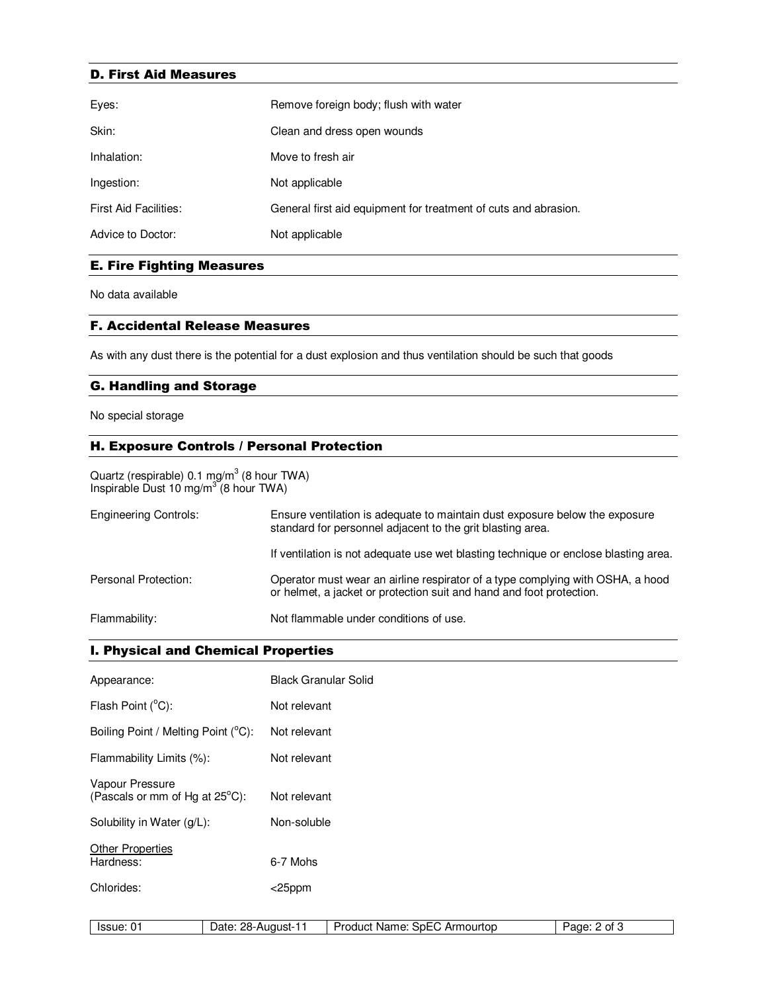#### D. First Aid Measures

| Eyes:                        | Remove foreign body; flush with water                           |
|------------------------------|-----------------------------------------------------------------|
| Skin:                        | Clean and dress open wounds                                     |
| Inhalation:                  | Move to fresh air                                               |
| Ingestion:                   | Not applicable                                                  |
| <b>First Aid Facilities:</b> | General first aid equipment for treatment of cuts and abrasion. |
| Advice to Doctor:            | Not applicable                                                  |

## E. Fire Fighting Measures

No data available

#### F. Accidental Release Measures

As with any dust there is the potential for a dust explosion and thus ventilation should be such that goods

## G. Handling and Storage

No special storage

## H. Exposure Controls / Personal Protection

Quartz (respirable) 0.1 mg/m $3$  (8 hour TWA) Inspirable Dust 10 mg/m<sup>3</sup> (8 hour TWA)

| <b>Engineering Controls:</b> | Ensure ventilation is adequate to maintain dust exposure below the exposure<br>standard for personnel adjacent to the grit blasting area.              |
|------------------------------|--------------------------------------------------------------------------------------------------------------------------------------------------------|
|                              | If ventilation is not adequate use wet blasting technique or enclose blasting area.                                                                    |
| Personal Protection:         | Operator must wear an airline respirator of a type complying with OSHA, a hood<br>or helmet, a jacket or protection suit and hand and foot protection. |
| Flammability:                | Not flammable under conditions of use.                                                                                                                 |

## I. Physical and Chemical Properties

| Appearance:                                       | <b>Black Granular Solid</b> |                              |              |
|---------------------------------------------------|-----------------------------|------------------------------|--------------|
| Flash Point (°C):                                 | Not relevant                |                              |              |
| Boiling Point / Melting Point (°C):               | Not relevant                |                              |              |
| Flammability Limits (%):                          | Not relevant                |                              |              |
| Vapour Pressure<br>(Pascals or mm of Hg at 25°C): | Not relevant                |                              |              |
| Solubility in Water (g/L):                        | Non-soluble                 |                              |              |
| <b>Other Properties</b><br>Hardness:              | 6-7 Mohs                    |                              |              |
| Chlorides:                                        | $<$ 25ppm                   |                              |              |
|                                                   |                             |                              |              |
| Issue: 01                                         | Date: 28-August-11          | Product Name: SpEC Armourtop | Page: 2 of 3 |